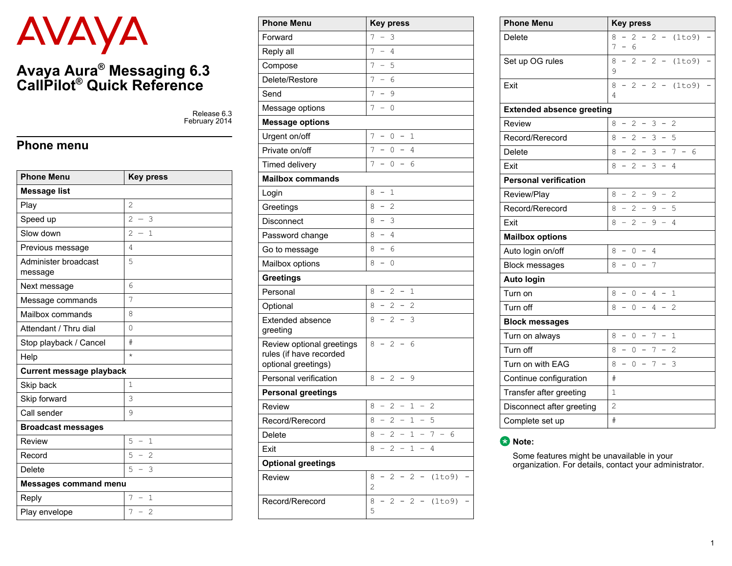# AVAYA

## **Avaya Aura® Messaging 6.3 CallPilot® Quick Reference**

Release 6.3 February 2014

#### **Phone menu**

| <b>Phone Menu</b>               | <b>Key press</b>                                           |  |  |  |
|---------------------------------|------------------------------------------------------------|--|--|--|
| <b>Message list</b>             |                                                            |  |  |  |
| Play                            | $\overline{2}$                                             |  |  |  |
| Speed up                        | $\overline{2}$<br>$-3$                                     |  |  |  |
| Slow down                       | $\overline{2}$<br>$\mathbf{1}$<br>$\overline{\phantom{a}}$ |  |  |  |
| Previous message                | 4                                                          |  |  |  |
| Administer broadcast<br>message | 5                                                          |  |  |  |
| Next message                    | 6                                                          |  |  |  |
| Message commands                | 7                                                          |  |  |  |
| Mailbox commands                | 8                                                          |  |  |  |
| Attendant / Thru dial           | $\Omega$                                                   |  |  |  |
| Stop playback / Cancel          | #                                                          |  |  |  |
| Help                            | $\star$                                                    |  |  |  |
| <b>Current message playback</b> |                                                            |  |  |  |
| Skip back                       | $\mathbf{1}$                                               |  |  |  |
| Skip forward                    | 3                                                          |  |  |  |
| Call sender                     | 9                                                          |  |  |  |
| <b>Broadcast messages</b>       |                                                            |  |  |  |
| Review                          | 5<br>$\mathbf{1}$<br>$\qquad \qquad -$                     |  |  |  |
| Record                          | 5<br>$-2$                                                  |  |  |  |
| Delete                          | 5<br>3<br>$\overline{\phantom{0}}$                         |  |  |  |
| <b>Messages command menu</b>    |                                                            |  |  |  |
| Reply                           | 7<br>$\mathbf{1}$<br>$\overline{\phantom{0}}$              |  |  |  |
| Play envelope                   | 7<br>$\overline{2}$<br>$\qquad \qquad -$                   |  |  |  |

| <b>Phone Menu</b>                                                           | <b>Key press</b>                                                    |  |  |  |  |  |
|-----------------------------------------------------------------------------|---------------------------------------------------------------------|--|--|--|--|--|
| Forward                                                                     | 7<br>$\overline{\phantom{0}}$<br>3                                  |  |  |  |  |  |
| Reply all                                                                   | 7<br>$\overline{\phantom{0}}$<br>4                                  |  |  |  |  |  |
| Compose                                                                     | 7<br>$\equiv$<br>5                                                  |  |  |  |  |  |
| Delete/Restore                                                              | 7<br>$\overline{\phantom{0}}$<br>6                                  |  |  |  |  |  |
| Send                                                                        | 7<br>$\overline{a}$<br>9                                            |  |  |  |  |  |
| Message options                                                             | 7<br>$\overline{a}$<br>0                                            |  |  |  |  |  |
| <b>Message options</b>                                                      |                                                                     |  |  |  |  |  |
| Urgent on/off                                                               | 7<br>$\overline{a}$<br>0<br>$\qquad \qquad -$<br>1                  |  |  |  |  |  |
| Private on/off                                                              | 7<br>0<br>$-$<br>4                                                  |  |  |  |  |  |
| Timed delivery                                                              | 7<br>0<br>6<br>$\overline{\phantom{0}}$<br>$\overline{\phantom{0}}$ |  |  |  |  |  |
| <b>Mailbox commands</b>                                                     |                                                                     |  |  |  |  |  |
| Login                                                                       | $\overline{a}$<br>$\mathbf{1}$<br>8                                 |  |  |  |  |  |
| Greetings                                                                   | $\overline{\phantom{0}}$<br>2<br>8                                  |  |  |  |  |  |
| <b>Disconnect</b>                                                           | $\overline{a}$<br>8<br>3                                            |  |  |  |  |  |
| Password change                                                             | $\overline{\phantom{0}}$<br>4<br>8                                  |  |  |  |  |  |
| Go to message                                                               | $\overline{a}$<br>8<br>6                                            |  |  |  |  |  |
| Mailbox options                                                             | 8<br>$\overline{\phantom{0}}$<br>0                                  |  |  |  |  |  |
| <b>Greetings</b>                                                            |                                                                     |  |  |  |  |  |
| Personal                                                                    | 8<br>- 2<br>$\qquad \qquad -$<br>- 1                                |  |  |  |  |  |
| Optional                                                                    | $-2$<br>8<br>$-2$                                                   |  |  |  |  |  |
| <b>Extended absence</b><br>greeting                                         | $\overline{\phantom{0}}$<br>2<br>$-$<br>3<br>8                      |  |  |  |  |  |
| Review optional greetings<br>rules (if have recorded<br>optional greetings) | $-2$<br>8<br>6                                                      |  |  |  |  |  |
| Personal verification                                                       | 8<br>$-$<br>2<br>$\qquad \qquad -$<br>9                             |  |  |  |  |  |
| <b>Personal greetings</b>                                                   |                                                                     |  |  |  |  |  |
| Review                                                                      | $-1$<br>2<br>8<br>$\qquad \qquad -$<br>2<br>$\qquad \qquad -$       |  |  |  |  |  |
| Record/Rerecord                                                             | 8<br>2<br>$\overline{a}$<br>1<br>5                                  |  |  |  |  |  |
| Delete                                                                      | 8<br>$-2 - 1 - 7 - 6$                                               |  |  |  |  |  |
| Exit                                                                        | $8 - 2 - 1 -$<br>4                                                  |  |  |  |  |  |
| <b>Optional greetings</b>                                                   |                                                                     |  |  |  |  |  |
| Review                                                                      | $-2 - 2 - (1 to 9)$<br>8<br>$\overline{c}$                          |  |  |  |  |  |
| Record/Rerecord                                                             | $-2 -$<br>$-2$<br>(1to9)<br>8<br>5                                  |  |  |  |  |  |

| <b>Phone Menu</b>                |                |                          | <b>Key press</b>    |                          |                |                          |                             |  |
|----------------------------------|----------------|--------------------------|---------------------|--------------------------|----------------|--------------------------|-----------------------------|--|
| <b>Delete</b>                    | 8<br>7         | $\equiv$                 | $\overline{2}$<br>6 |                          |                |                          | $-2 - (1to9)$               |  |
| Set up OG rules                  | 8<br>9         | $\overline{a}$           | $\mathfrak{D}$      |                          |                |                          | $-2 - (1to9)$               |  |
| Exit                             | 8<br>4         | $\equiv$                 | $\overline{2}$      | $-$                      | 2              | $\qquad \qquad -$        | (1to9)                      |  |
| <b>Extended absence greeting</b> |                |                          |                     |                          |                |                          |                             |  |
| Review                           | 8              |                          | 2                   | $\qquad \qquad -$        | 3              | $\overline{\phantom{0}}$ | 2                           |  |
| Record/Rerecord                  | 8              |                          | $\overline{2}$      | $\overline{\phantom{0}}$ | 3              | $\qquad \qquad -$        | 5                           |  |
| <b>Delete</b>                    | 8              |                          | $2^{\circ}$         | $-$                      | 3              |                          | $-7$<br>$\overline{a}$<br>6 |  |
| Exit                             | 8              |                          | $\overline{2}$      | $\overline{\phantom{0}}$ | 3              | $\overline{\phantom{0}}$ | 4                           |  |
| <b>Personal verification</b>     |                |                          |                     |                          |                |                          |                             |  |
| Review/Play                      | 8              | $\overline{\phantom{0}}$ | 2                   | $\qquad \qquad -$        | 9              | $\overline{\phantom{0}}$ | $\overline{2}$              |  |
| Record/Rerecord                  | 8              | $\overline{a}$           | $\overline{2}$      | $\qquad \qquad -$        | 9              | $\overline{\phantom{0}}$ | 5                           |  |
| Exit                             | 8              | $\equiv$                 | 2                   | $\overline{\phantom{0}}$ | 9              |                          | 4                           |  |
| <b>Mailbox options</b>           |                |                          |                     |                          |                |                          |                             |  |
| Auto login on/off                | 8              |                          | 0                   |                          | $\overline{4}$ |                          |                             |  |
| <b>Block messages</b>            | 8              |                          | $\mathbf{0}$        |                          | 7              |                          |                             |  |
| <b>Auto login</b>                |                |                          |                     |                          |                |                          |                             |  |
| Turn on                          | 8              | -                        | $\mathbf{0}$        | $\overline{a}$           | 4              | $\overline{\phantom{0}}$ | $\mathbf 1$                 |  |
| Turn off                         | 8              |                          | 0                   | $\overline{\phantom{0}}$ | 4              | $\overline{\phantom{0}}$ | $\overline{2}$              |  |
| <b>Block messages</b>            |                |                          |                     |                          |                |                          |                             |  |
| Turn on always                   | 8              | -                        | 0                   | -                        | 7              |                          | $\mathbf 1$                 |  |
| Turn off                         | 8              |                          | $\Omega$            | $\overline{\phantom{0}}$ | 7              |                          | $\mathfrak{D}$              |  |
| Turn on with EAG                 | 8              | -                        | $\mathbf{0}$        |                          | 7              |                          | 3                           |  |
| Continue configuration           | #              |                          |                     |                          |                |                          |                             |  |
| Transfer after greeting          | $\mathbf{1}$   |                          |                     |                          |                |                          |                             |  |
| Disconnect after greeting        | $\overline{2}$ |                          |                     |                          |                |                          |                             |  |
| Complete set up                  | #              |                          |                     |                          |                |                          |                             |  |



Some features might be unavailable in your organization. For details, contact your administrator.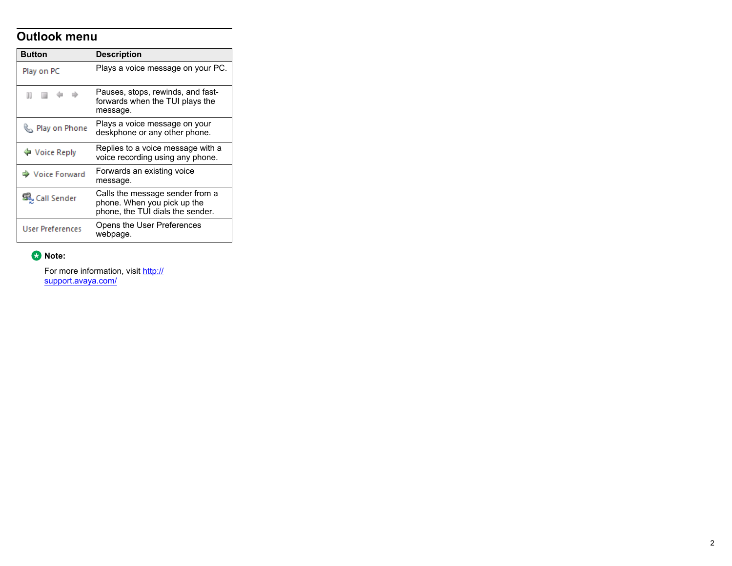#### **Outlook menu**

| <b>Button</b>           | <b>Description</b>                                                                                 |
|-------------------------|----------------------------------------------------------------------------------------------------|
| Play on PC              | Plays a voice message on your PC.                                                                  |
| .                       | Pauses, stops, rewinds, and fast-<br>forwards when the TUI plays the<br>message.                   |
| Play on Phone           | Plays a voice message on your<br>deskphone or any other phone.                                     |
| ♦ Voice Reply           | Replies to a voice message with a<br>voice recording using any phone.                              |
| → Voice Forward         | Forwards an existing voice<br>message.                                                             |
| Call Sender             | Calls the message sender from a<br>phone. When you pick up the<br>phone, the TUI dials the sender. |
| <b>User Preferences</b> | Opens the User Preferences<br>webpage.                                                             |

#### **Note:**

For more information, visit [http://](http://support.avaya.com/) [support.avaya.com/](http://support.avaya.com/)